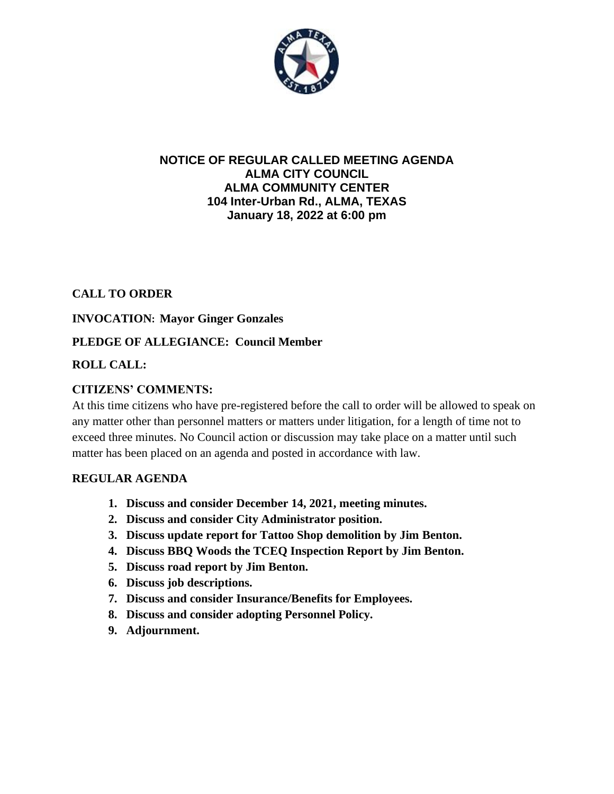

#### **NOTICE OF REGULAR CALLED MEETING AGENDA ALMA CITY COUNCIL ALMA COMMUNITY CENTER 104 Inter-Urban Rd., ALMA, TEXAS January 18, 2022 at 6:00 pm**

## **CALL TO ORDER**

## **INVOCATION: Mayor Ginger Gonzales**

## **PLEDGE OF ALLEGIANCE: Council Member**

## **ROLL CALL:**

## **CITIZENS' COMMENTS:**

At this time citizens who have pre-registered before the call to order will be allowed to speak on any matter other than personnel matters or matters under litigation, for a length of time not to exceed three minutes. No Council action or discussion may take place on a matter until such matter has been placed on an agenda and posted in accordance with law.

#### **REGULAR AGENDA**

- **1. Discuss and consider December 14, 2021, meeting minutes.**
- **2. Discuss and consider City Administrator position.**
- **3. Discuss update report for Tattoo Shop demolition by Jim Benton.**
- **4. Discuss BBQ Woods the TCEQ Inspection Report by Jim Benton.**
- **5. Discuss road report by Jim Benton.**
- **6. Discuss job descriptions.**
- **7. Discuss and consider Insurance/Benefits for Employees.**
- **8. Discuss and consider adopting Personnel Policy.**
- **9. Adjournment.**